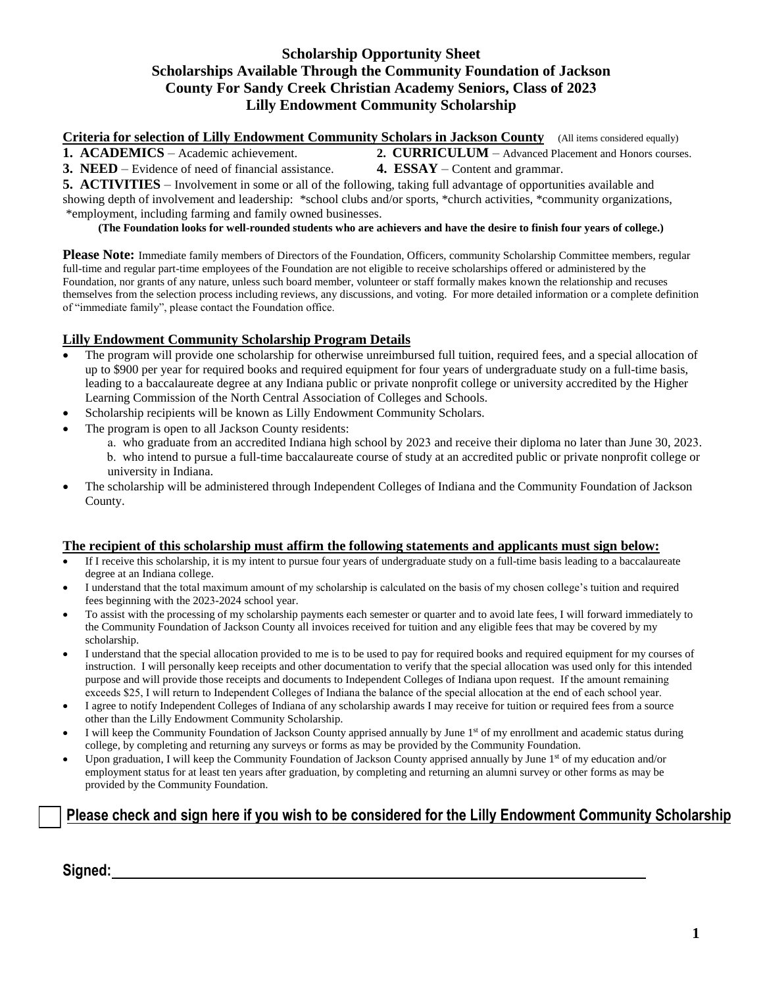### **Scholarship Opportunity Sheet Scholarships Available Through the Community Foundation of Jackson County For Sandy Creek Christian Academy Seniors, Class of 2023 Lilly Endowment Community Scholarship**

**Criteria for selection of Lilly Endowment Community Scholars in Jackson County** (All items considered equally)

**1. ACADEMICS** – Academic achievement. **2. CURRICULUM** – Advanced Placement and Honors courses. **3. NEED** – Evidence of need of financial assistance. **4. ESSAY** – Content and grammar.

**5. ACTIVITIES** – Involvement in some or all of the following, taking full advantage of opportunities available and showing depth of involvement and leadership: \*school clubs and/or sports, \*church activities, \*community organizations, \*employment, including farming and family owned businesses.

**(The Foundation looks for well-rounded students who are achievers and have the desire to finish four years of college.)**

**Please Note:** Immediate family members of Directors of the Foundation, Officers, community Scholarship Committee members, regular full-time and regular part-time employees of the Foundation are not eligible to receive scholarships offered or administered by the Foundation, nor grants of any nature, unless such board member, volunteer or staff formally makes known the relationship and recuses themselves from the selection process including reviews, any discussions, and voting. For more detailed information or a complete definition of "immediate family", please contact the Foundation office.

### **Lilly Endowment Community Scholarship Program Details**

- The program will provide one scholarship for otherwise unreimbursed full tuition, required fees, and a special allocation of up to \$900 per year for required books and required equipment for four years of undergraduate study on a full-time basis, leading to a baccalaureate degree at any Indiana public or private nonprofit college or university accredited by the Higher Learning Commission of the North Central Association of Colleges and Schools.
- Scholarship recipients will be known as Lilly Endowment Community Scholars.
- The program is open to all Jackson County residents:
	- a. who graduate from an accredited Indiana high school by 2023 and receive their diploma no later than June 30, 2023. b. who intend to pursue a full-time baccalaureate course of study at an accredited public or private nonprofit college or university in Indiana.
- The scholarship will be administered through Independent Colleges of Indiana and the Community Foundation of Jackson County.

#### **The recipient of this scholarship must affirm the following statements and applicants must sign below:**

- If I receive this scholarship, it is my intent to pursue four years of undergraduate study on a full-time basis leading to a baccalaureate degree at an Indiana college.
- I understand that the total maximum amount of my scholarship is calculated on the basis of my chosen college's tuition and required fees beginning with the 2023-2024 school year.
- To assist with the processing of my scholarship payments each semester or quarter and to avoid late fees, I will forward immediately to the Community Foundation of Jackson County all invoices received for tuition and any eligible fees that may be covered by my scholarship.
- I understand that the special allocation provided to me is to be used to pay for required books and required equipment for my courses of instruction. I will personally keep receipts and other documentation to verify that the special allocation was used only for this intended purpose and will provide those receipts and documents to Independent Colleges of Indiana upon request. If the amount remaining exceeds \$25, I will return to Independent Colleges of Indiana the balance of the special allocation at the end of each school year.
- I agree to notify Independent Colleges of Indiana of any scholarship awards I may receive for tuition or required fees from a source other than the Lilly Endowment Community Scholarship.
- I will keep the Community Foundation of Jackson County apprised annually by June 1<sup>st</sup> of my enrollment and academic status during college, by completing and returning any surveys or forms as may be provided by the Community Foundation.
- Upon graduation, I will keep the Community Foundation of Jackson County apprised annually by June 1<sup>st</sup> of my education and/or employment status for at least ten years after graduation, by completing and returning an alumni survey or other forms as may be provided by the Community Foundation.

# **Please check and sign here if you wish to be considered for the Lilly Endowment Community** S**cholarship**

**Signed:**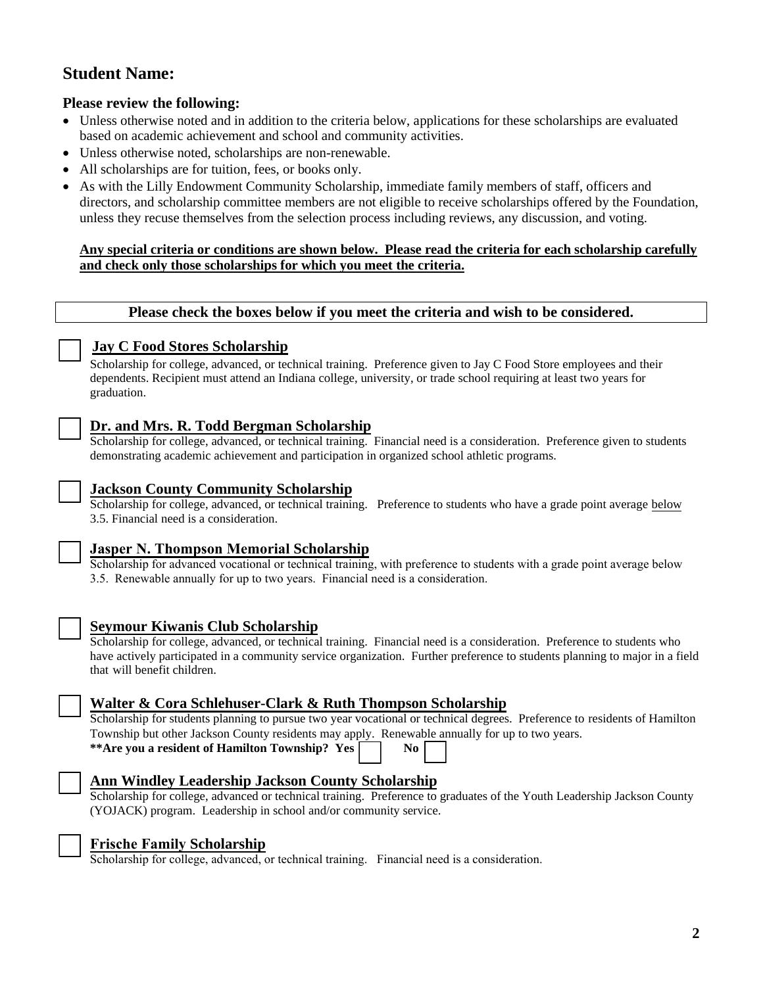# **Student Name:**

### **Please review the following:**

- Unless otherwise noted and in addition to the criteria below, applications for these scholarships are evaluated based on academic achievement and school and community activities.
- Unless otherwise noted, scholarships are non-renewable.
- All scholarships are for tuition, fees, or books only.
- As with the Lilly Endowment Community Scholarship, immediate family members of staff, officers and directors, and scholarship committee members are not eligible to receive scholarships offered by the Foundation, unless they recuse themselves from the selection process including reviews, any discussion, and voting.

### **Any special criteria or conditions are shown below. Please read the criteria for each scholarship carefully and check only those scholarships for which you meet the criteria.**

### **Please check the boxes below if you meet the criteria and wish to be considered.**



### **Jay C Food Stores Scholarship**

Scholarship for college, advanced, or technical training. Preference given to Jay C Food Store employees and their dependents. Recipient must attend an Indiana college, university, or trade school requiring at least two years for graduation.

## **Dr. and Mrs. R. Todd Bergman Scholarship**

Scholarship for college, advanced, or technical training. Financial need is a consideration. Preference given to students demonstrating academic achievement and participation in organized school athletic programs.



## **Jackson County Community Scholarship**

Scholarship for college, advanced, or technical training. Preference to students who have a grade point average below 3.5. Financial need is a consideration.

## **Jasper N. Thompson Memorial Scholarship**

Scholarship for advanced vocational or technical training, with preference to students with a grade point average below 3.5. Renewable annually for up to two years. Financial need is a consideration.



## **Seymour Kiwanis Club Scholarship**

Scholarship for college, advanced, or technical training. Financial need is a consideration. Preference to students who have actively participated in a community service organization. Further preference to students planning to major in a field that will benefit children.

## **Walter & Cora Schlehuser-Clark & Ruth Thompson Scholarship**

Scholarship for students planning to pursue two year vocational or technical degrees. Preference to residents of Hamilton Township but other Jackson County residents may apply. Renewable annually for up to two years.

| **Are you a resident of Hamilton Township? Yes [ |  |  | No. |
|--------------------------------------------------|--|--|-----|
|--------------------------------------------------|--|--|-----|

## **Ann Windley Leadership Jackson County Scholarship**

Scholarship for college, advanced or technical training. Preference to graduates of the Youth Leadership Jackson County (YOJACK) program. Leadership in school and/or community service.



### **Frische Family Scholarship**

Scholarship for college, advanced, or technical training. Financial need is a consideration.